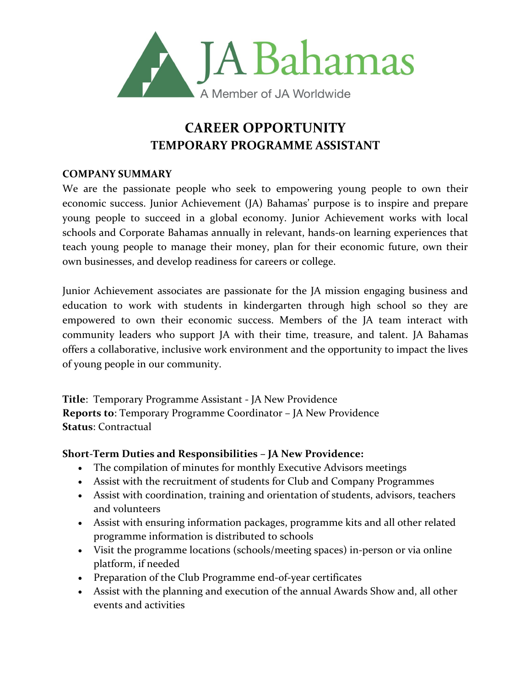

# **CAREER OPPORTUNITY TEMPORARY PROGRAMME ASSISTANT**

### **COMPANY SUMMARY**

We are the passionate people who seek to empowering young people to own their economic success. Junior Achievement (JA) Bahamas' purpose is to inspire and prepare young people to succeed in a global economy. Junior Achievement works with local schools and Corporate Bahamas annually in relevant, hands-on learning experiences that teach young people to manage their money, plan for their economic future, own their own businesses, and develop readiness for careers or college.

Junior Achievement associates are passionate for the JA mission engaging business and education to work with students in kindergarten through high school so they are empowered to own their economic success. Members of the JA team interact with community leaders who support JA with their time, treasure, and talent. JA Bahamas offers a collaborative, inclusive work environment and the opportunity to impact the lives of young people in our community.

**Title**: Temporary Programme Assistant - JA New Providence **Reports to**: Temporary Programme Coordinator – JA New Providence **Status**: Contractual

### **Short-Term Duties and Responsibilities – JA New Providence:**

- The compilation of minutes for monthly Executive Advisors meetings
- Assist with the recruitment of students for Club and Company Programmes
- Assist with coordination, training and orientation of students, advisors, teachers and volunteers
- Assist with ensuring information packages, programme kits and all other related programme information is distributed to schools
- Visit the programme locations (schools/meeting spaces) in-person or via online platform, if needed
- Preparation of the Club Programme end-of-year certificates
- Assist with the planning and execution of the annual Awards Show and, all other events and activities